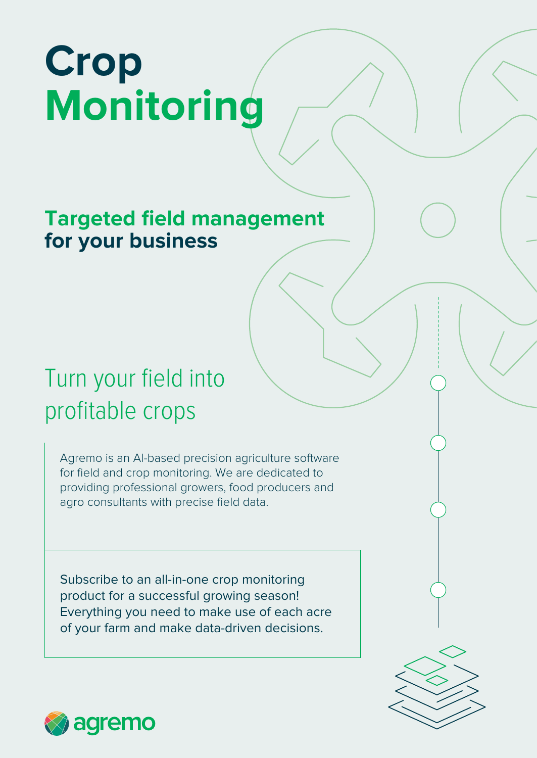# **Crop Monitoring**

## **Targeted field management for your business**

# Turn your field into profitable crops

Agremo is an AI-based precision agriculture software for field and crop monitoring. We are dedicated to providing professional growers, food producers and agro consultants with precise field data.

Subscribe to an all-in-one crop monitoring product for a successful growing season! Everything you need to make use of each acre of your farm and make data-driven decisions.



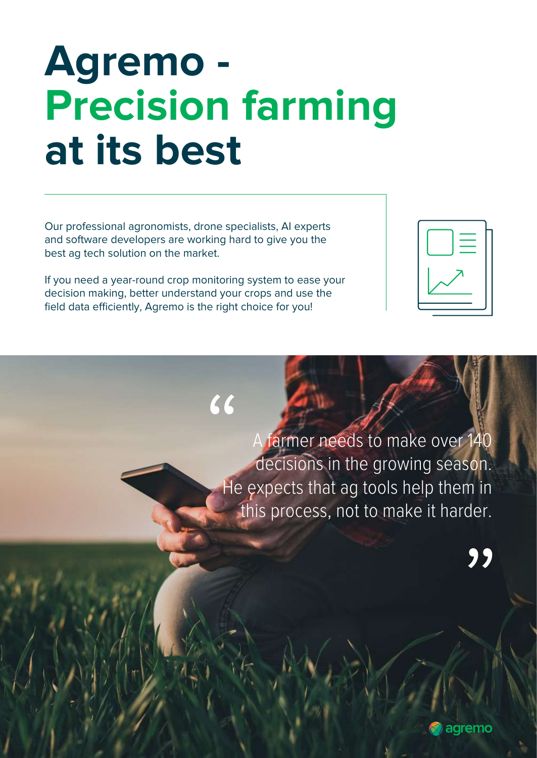# **Agremo - Precision farming at its best**

Our professional agronomists, drone specialists, AI experts and software developers are working hard to give you the best ag tech solution on the market.

If you need a year-round crop monitoring system to ease your decision making, better understand your crops and use the field data efficiently, Agremo is the right choice for you!

A farmer needs to make over 140 decisions in the growing season. He expects that ag tools help them in this process, not to make it harder.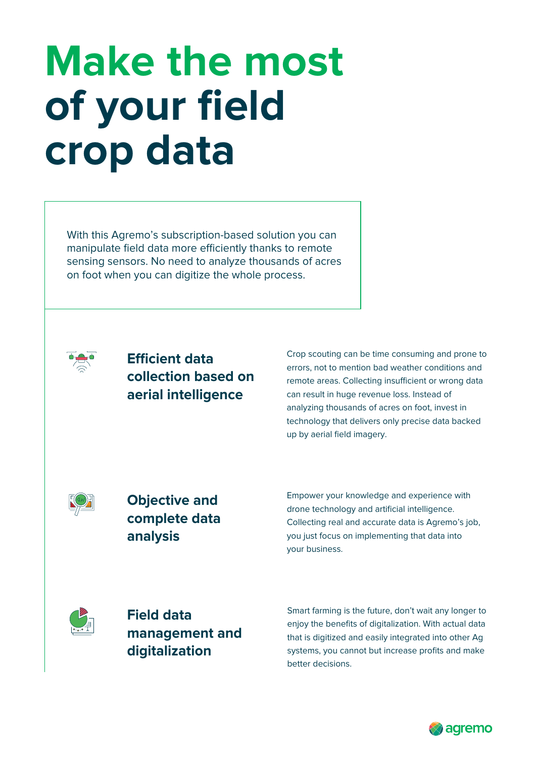# **Make the most of your field crop data**

With this Agremo's subscription-based solution you can manipulate field data more efficiently thanks to remote sensing sensors. No need to analyze thousands of acres on foot when you can digitize the whole process.



### **Efficient data collection based on aerial intelligence**

Crop scouting can be time consuming and prone to errors, not to mention bad weather conditions and remote areas. Collecting insufficient or wrong data can result in huge revenue loss. Instead of analyzing thousands of acres on foot, invest in technology that delivers only precise data backed up by aerial field imagery.



**Objective and complete data analysis** 

Empower your knowledge and experience with drone technology and artificial intelligence. Collecting real and accurate data is Agremo's job, you just focus on implementing that data into your business.



**Field data management and digitalization**

Smart farming is the future, don't wait any longer to enjoy the benefits of digitalization. With actual data that is digitized and easily integrated into other Ag systems, you cannot but increase profits and make better decisions.

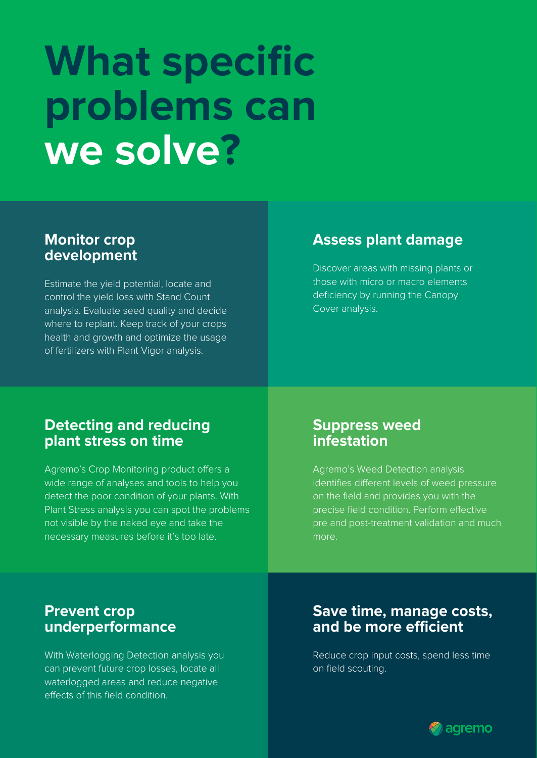# **What specific problems can we solve?**

### **Monitor crop development**

Estimate the yield potential, locate and control the yield loss with Stand Count analysis. Evaluate seed quality and decide where to replant. Keep track of your crops health and growth and optimize the usage of fertilizers with Plant Vigor analysis.

## **Assess plant damage**

Discover areas with missing plants or those with micro or macro elements deficiency by running the Canopy Cover analysis.

### **Detecting and reducing plant stress on time**

Agremo's Crop Monitoring product offers a wide range of analyses and tools to help you detect the poor condition of your plants. With Plant Stress analysis you can spot the problems not visible by the naked eye and take the necessary measures before it's too late.

### **Suppress weed infestation**

Agremo's Weed Detection analysis identifies different levels of weed pressure precise field condition. Perform effective pre and post-treatment validation and much more.

### **Prevent crop underperformance**

With Waterlogging Detection analysis you can prevent future crop losses, locate all waterlogged areas and reduce negative effects of this field condition

### **Save time, manage costs,**  and be more efficient

Reduce crop input costs, spend less time on field scouting.

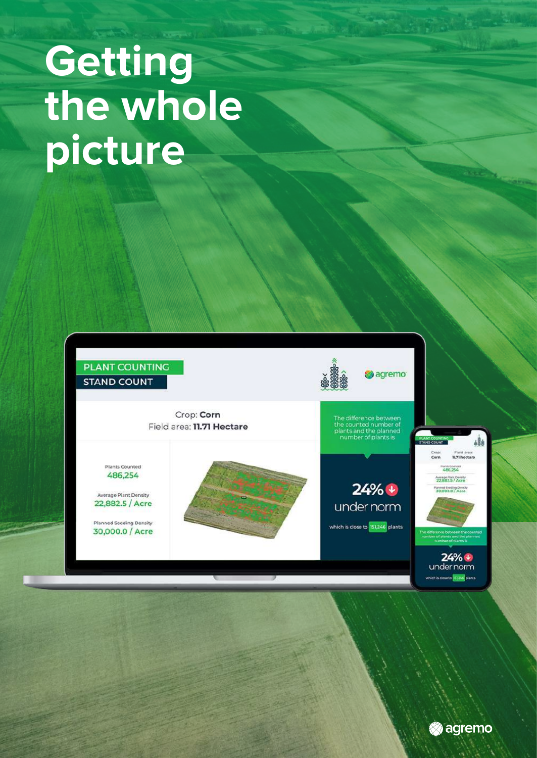# **Getting the whole picture**



**agremo** 

ch is coseto 33,246 pla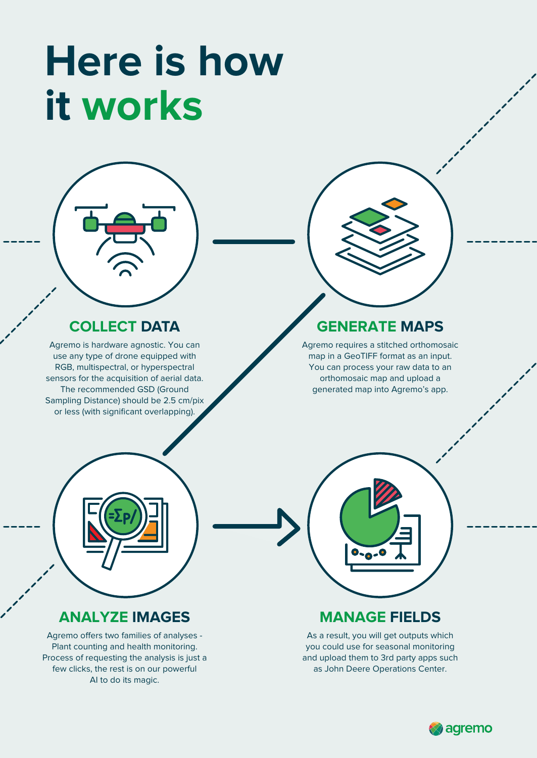# **Here is how it works**



Agremo is hardware agnostic. You can use any type of drone equipped with RGB, multispectral, or hyperspectral sensors for the acquisition of aerial data. The recommended GSD (Ground Sampling Distance) should be 2.5 cm/pix or less (with significant overlapping).



## **GENERATE MAPS**

Agremo requires a stitched orthomosaic map in a GeoTIFF format as an input. You can process your raw data to an orthomosaic map and upload a generated map into Agremo's app.



### **MANAGE FIELDS**

As a result, you will get outputs which you could use for seasonal monitoring and upload them to 3rd party apps such as John Deere Operations Center.

### **ANALYZE IMAGES**

Agremo offers two families of analyses -Plant counting and health monitoring. Process of requesting the analysis is just a few clicks, the rest is on our powerful AI to do its magic.

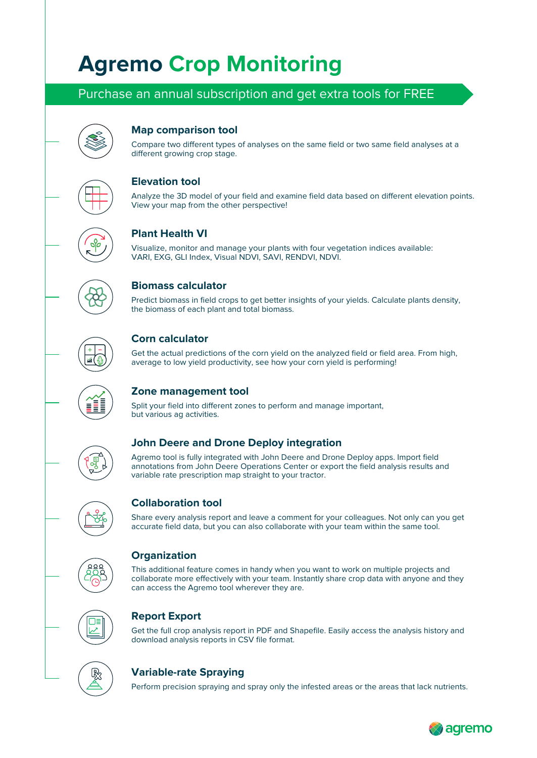## **Agremo Crop Monitoring**

### Purchase an annual subscription and get extra tools for FREE



#### **Map comparison tool**

Compare two different types of analyses on the same field or two same field analyses at a different growing crop stage.

#### **Elevation tool**

Analyze the 3D model of your field and examine field data based on different elevation points. View your map from the other perspective!

#### **Plant Health VI**

Visualize, monitor and manage your plants with four vegetation indices available: VARI, EXG, GLI Index, Visual NDVI, SAVI, RENDVI, NDVI.



#### **Biomass calculator**

Predict biomass in field crops to get better insights of your yields. Calculate plants density, the biomass of each plant and total biomass.



#### **Corn calculator**

Get the actual predictions of the corn yield on the analyzed field or field area. From high, average to low yield productivity, see how your corn yield is performing!



#### **Zone management tool**

Split your field into different zones to perform and manage important, but various ag activities.



Agremo tool is fully integrated with John Deere and Drone Deploy apps. Import field annotations from John Deere Operations Center or export the field analysis results and variable rate prescription map straight to your tractor.



#### **Collaboration tool**

Share every analysis report and leave a comment for your colleagues. Not only can you get accurate field data, but you can also collaborate with your team within the same tool.



#### **Organization**

This additional feature comes in handy when you want to work on multiple projects and collaborate more effectively with your team. Instantly share crop data with anyone and they can access the Agremo tool wherever they are.



#### **Report Export**

Get the full crop analysis report in PDF and Shapefile. Easily access the analysis history and download analysis reports in CSV file format.



#### **Variable-rate Spraying**

Perform precision spraying and spray only the infested areas or the areas that lack nutrients.

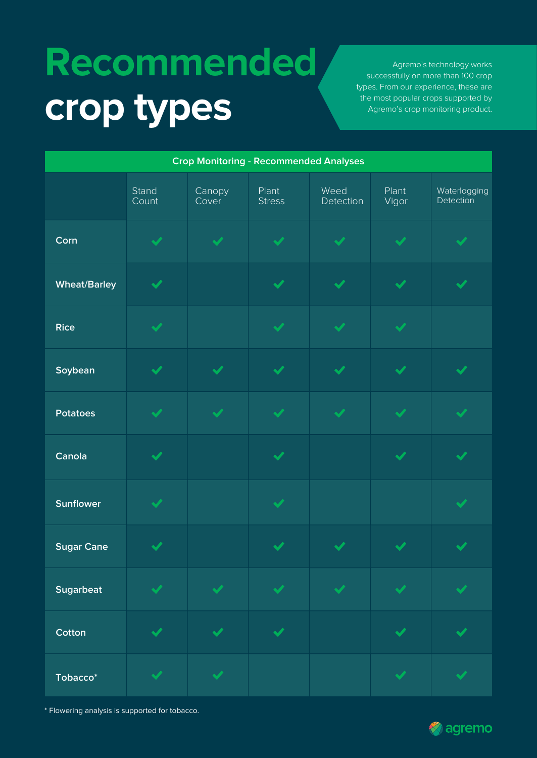# **Recommended crop types**

Agremo's technology works successfully on more than 100 crop types. From our experience, these are the most popular crops supported by Agremo's crop monitoring product.

| <b>Crop Monitoring - Recommended Analyses</b> |                      |                      |                        |                      |                      |                           |  |  |  |
|-----------------------------------------------|----------------------|----------------------|------------------------|----------------------|----------------------|---------------------------|--|--|--|
|                                               | Stand<br>Count       | Canopy<br>Cover      | Plant<br><b>Stress</b> | Weed<br>Detection    | Plant<br>Vigor       | Waterlogging<br>Detection |  |  |  |
| Corn                                          | $\blacktriangledown$ | $\blacktriangledown$ | $\blacktriangledown$   | $\blacktriangledown$ | $\blacktriangledown$ | $\blacktriangledown$      |  |  |  |
| <b>Wheat/Barley</b>                           | $\blacktriangledown$ |                      | $\blacktriangledown$   | $\blacktriangledown$ | $\blacktriangledown$ | $\blacktriangledown$      |  |  |  |
| <b>Rice</b>                                   | $\blacktriangledown$ |                      | $\blacktriangledown$   | $\blacktriangledown$ | $\blacktriangledown$ |                           |  |  |  |
| Soybean                                       | $\blacktriangledown$ | $\checkmark$         | $\blacktriangledown$   | $\blacktriangledown$ | $\blacktriangledown$ | $\checkmark$              |  |  |  |
| <b>Potatoes</b>                               | $\blacktriangledown$ | $\blacktriangledown$ | $\blacktriangledown$   | $\blacktriangledown$ | $\blacktriangledown$ | $\checkmark$              |  |  |  |
| Canola                                        | $\blacktriangledown$ |                      | $\blacktriangledown$   |                      | $\blacktriangledown$ | $\blacktriangledown$      |  |  |  |
| <b>Sunflower</b>                              | $\blacktriangledown$ |                      | $\blacktriangledown$   |                      |                      | $\blacktriangledown$      |  |  |  |
| <b>Sugar Cane</b>                             | $\blacktriangledown$ |                      | $\checkmark$           | $\checkmark$         | $\checkmark$         | $\checkmark$              |  |  |  |
| <b>Sugarbeat</b>                              | $\blacktriangledown$ | $\blacktriangledown$ | $\blacktriangledown$   | $\blacktriangledown$ | $\blacktriangledown$ | $\blacktriangledown$      |  |  |  |
| Cotton                                        | $\blacktriangledown$ | $\blacktriangledown$ | $\blacktriangledown$   |                      | $\blacktriangledown$ | $\blacktriangledown$      |  |  |  |
| Tobacco*                                      | $\blacktriangledown$ | $\blacktriangledown$ |                        |                      | $\blacktriangledown$ | $\blacktriangledown$      |  |  |  |

\* Flowering analysis is supported for tobacco.

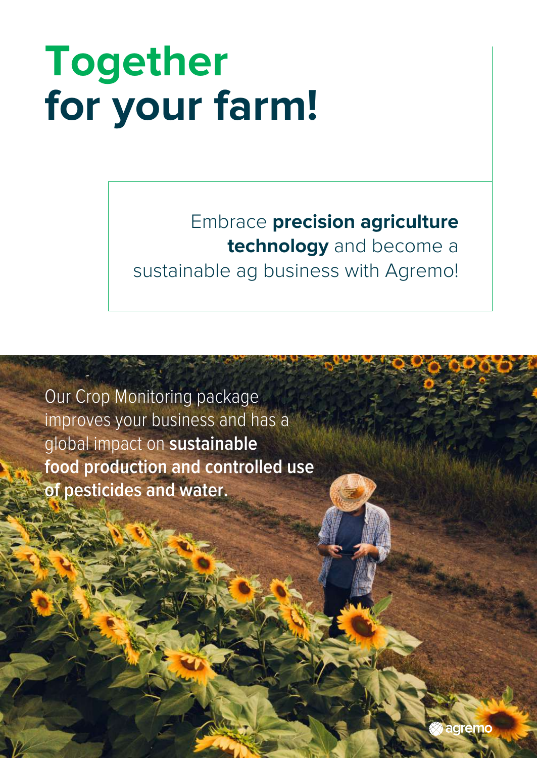# **Together for your farm!**

## Embrace **precision agriculture technology** and become a sustainable ag business with Agremo!

Our Crop Monitoring package improves your business and has a global impact on **sustainable food production and controlled use of pesticides and water.**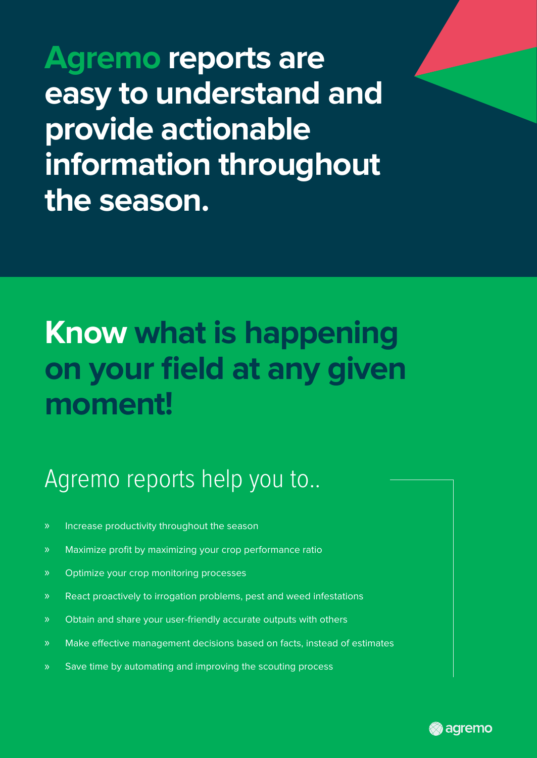**Agremo reports are easy to understand and provide actionable information throughout the season.**

# **Know what is happening on your field at any given moment!**

## Agremo reports help you to..

- Increase productivity throughout the season
- » Maximize profit by maximizing your crop performance ratio
- Optimize your crop monitoring processes
- React proactively to irrogation problems, pest and weed infestations
- » Obtain and share your user-friendly accurate outputs with others
- Make effective management decisions based on facts, instead of estimates
- » Save time by automating and improving the scouting process